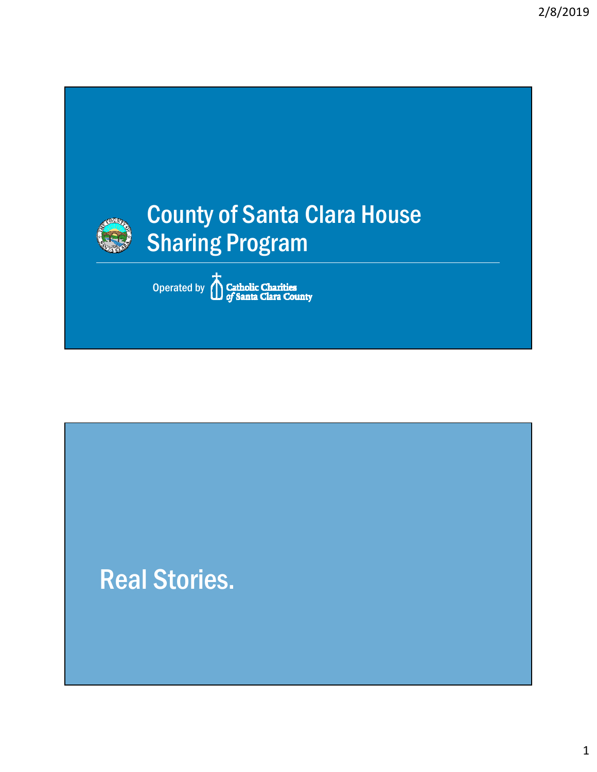

Operated by **Catholic Charities** 

## Real Stories.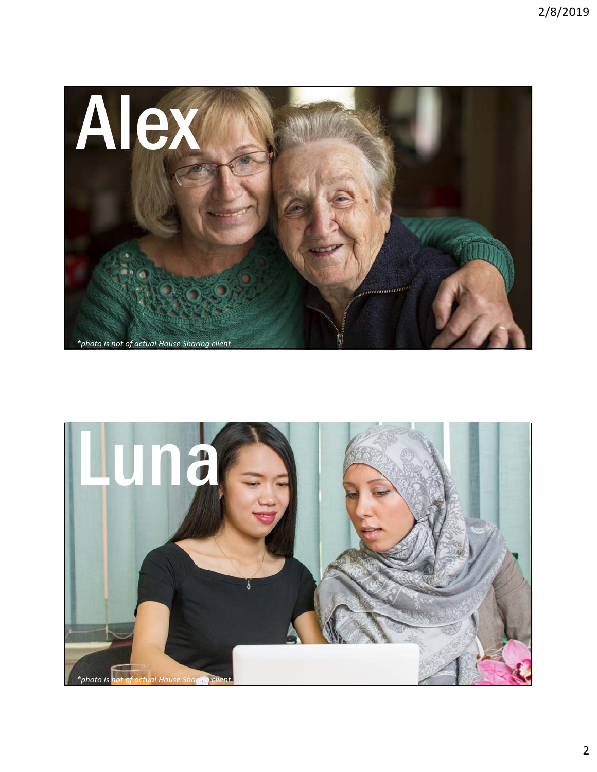

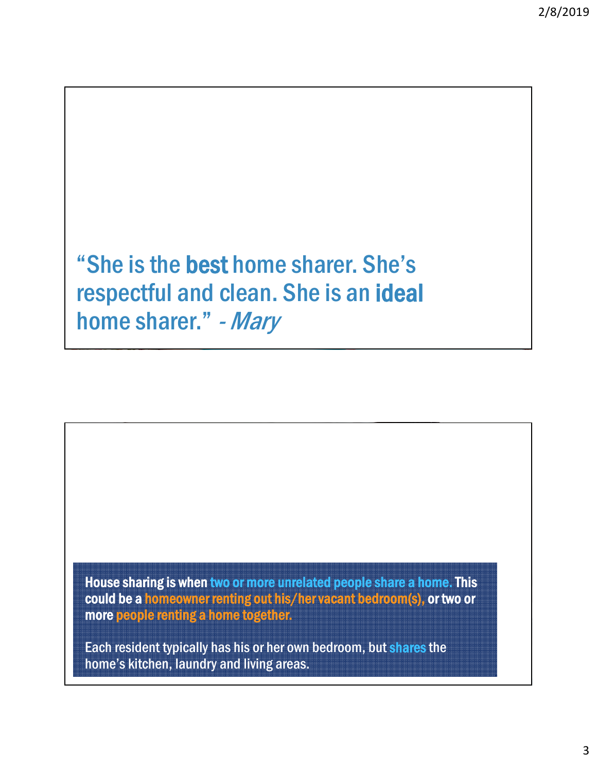"She is the best home sharer. She's respectful and clean. She is an ideal home sharer." - Mary

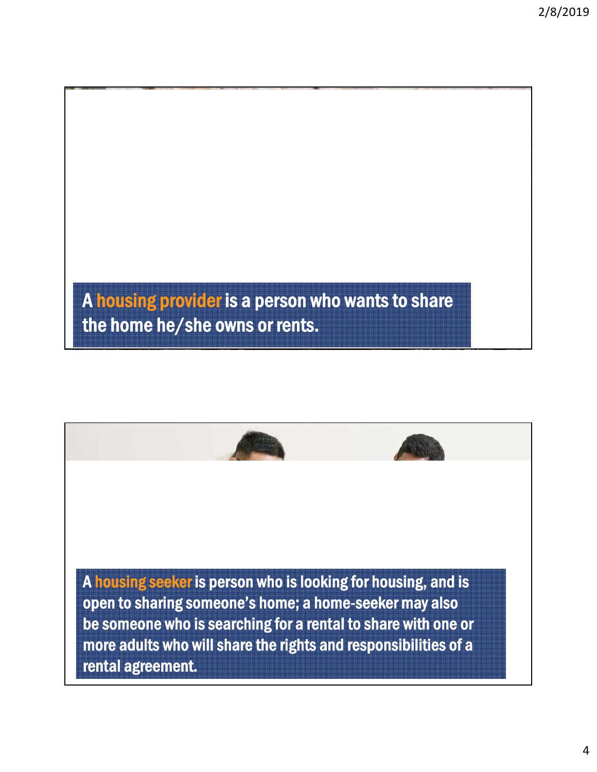A housing provider is a person who wants to share the home he/she owns or rents.

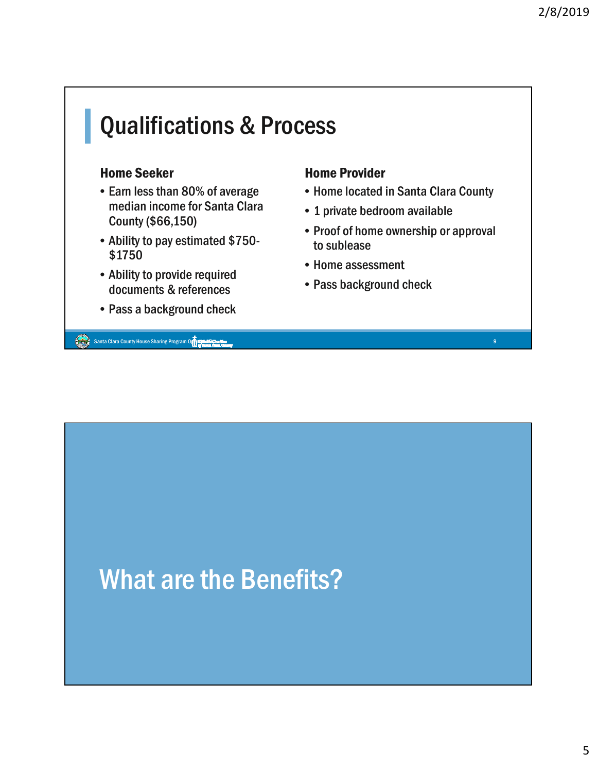## **Qualifications & Process**

#### Home Seeker

- Earn less than 80% of average median income for Santa Clara County (\$66,150)
- Ability to pay estimated \$750- \$1750
- Ability to provide required documents & references
- Pass a background check

Santa Clara County House Sharing Program Operation County of the County of the County of the County House Sharing Program Operation County of the County of the County of the County of the County of the County of the County

#### Home Provider

- Home located in Santa Clara County
- 1 private bedroom available
- Proof of home ownership or approval to sublease
- Home assessment
- Pass background check

## What are the Benefits?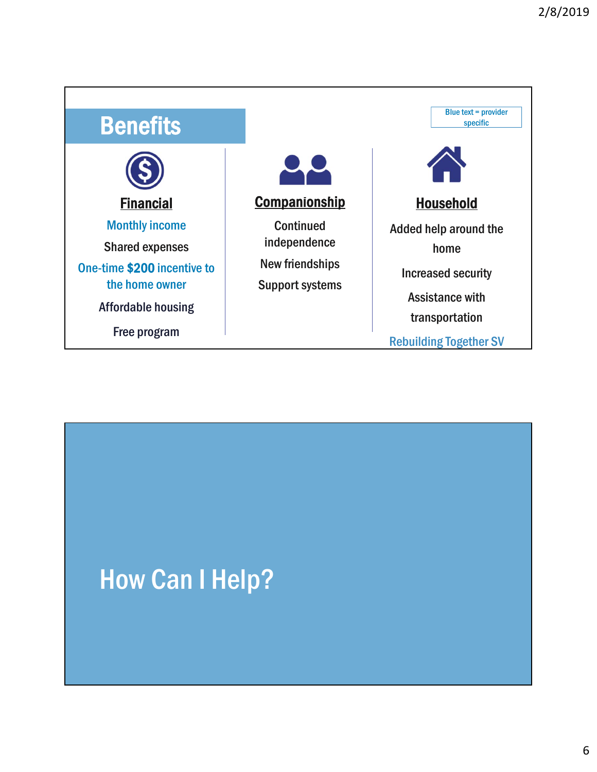| <b>Benefits</b>                                                                                                                               |                                                                                      | Blue text = provider<br>specific                                                                       |
|-----------------------------------------------------------------------------------------------------------------------------------------------|--------------------------------------------------------------------------------------|--------------------------------------------------------------------------------------------------------|
| <b>Financial</b>                                                                                                                              | <b>Companionship</b>                                                                 | <b>Household</b>                                                                                       |
| <b>Monthly income</b><br><b>Shared expenses</b><br>One-time \$200 incentive to<br>the home owner<br><b>Affordable housing</b><br>Free program | <b>Continued</b><br>independence<br><b>New friendships</b><br><b>Support systems</b> | Added help around the<br>home<br><b>Increased security</b><br><b>Assistance with</b><br>transportation |

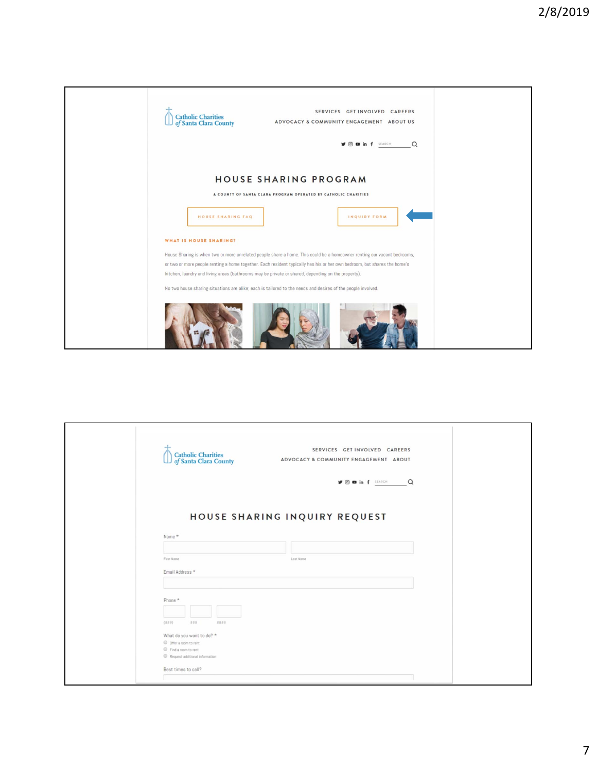

| <b>Catholic Charities</b><br>of Santa Clara County           | SERVICES GET INVOLVED CAREERS<br>ADVOCACY & COMMUNITY ENGAGEMENT ABOUT |
|--------------------------------------------------------------|------------------------------------------------------------------------|
|                                                              | $\Omega$<br><b>y o o</b> in f <b>SEARCH</b>                            |
| Name *                                                       | HOUSE SHARING INQUIRY REQUEST                                          |
|                                                              |                                                                        |
| First Name<br>Email Address *                                | Lost Name                                                              |
| Phone *<br>(111)<br>###<br>####<br>What do you want to do? * |                                                                        |
| O Offer a room to rent                                       |                                                                        |
| Find a room to rent<br>Request additional information        |                                                                        |
| Best times to call?                                          |                                                                        |